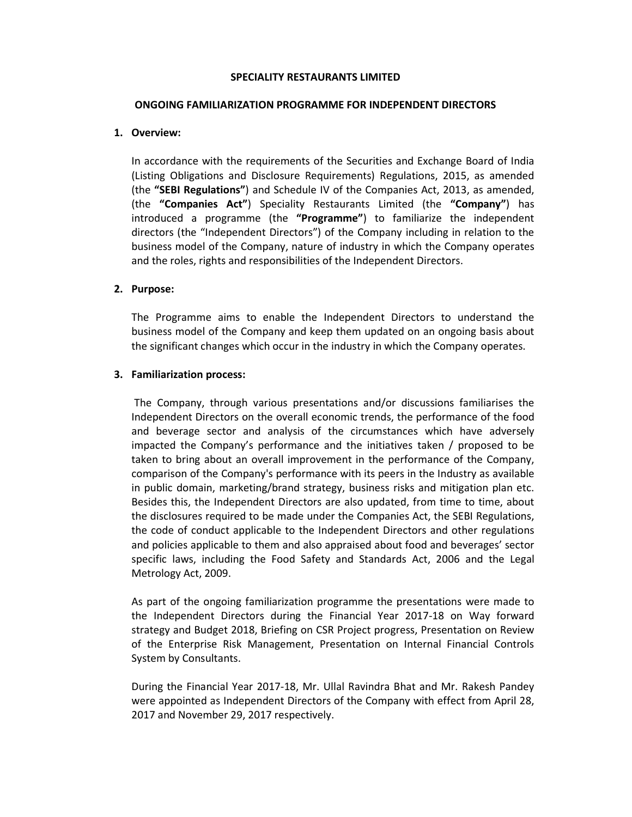### SPECIALITY RESTAURANTS LIMITED

#### ONGOING FAMILIARIZATION PROGRAMME FOR INDEPENDENT DIRECTORS

## 1. Overview:

In accordance with the requirements of the Securities and Exchange Board of India (Listing Obligations and Disclosure Requirements) Regulations, 2015, as amended (the "SEBI Regulations") and Schedule IV of the Companies Act, 2013, as amended, (the "Companies Act") Speciality Restaurants Limited (the "Company") has introduced a programme (the "Programme") to familiarize the independent directors (the "Independent Directors") of the Company including in relation to the business model of the Company, nature of industry in which the Company operates and the roles, rights and responsibilities of the Independent Directors.

# 2. Purpose:

The Programme aims to enable the Independent Directors to understand the business model of the Company and keep them updated on an ongoing basis about the significant changes which occur in the industry in which the Company operates.

# 3. Familiarization process:

 The Company, through various presentations and/or discussions familiarises the Independent Directors on the overall economic trends, the performance of the food and beverage sector and analysis of the circumstances which have adversely impacted the Company's performance and the initiatives taken / proposed to be taken to bring about an overall improvement in the performance of the Company, comparison of the Company's performance with its peers in the Industry as available in public domain, marketing/brand strategy, business risks and mitigation plan etc. Besides this, the Independent Directors are also updated, from time to time, about the disclosures required to be made under the Companies Act, the SEBI Regulations, the code of conduct applicable to the Independent Directors and other regulations and policies applicable to them and also appraised about food and beverages' sector specific laws, including the Food Safety and Standards Act, 2006 and the Legal Metrology Act, 2009.

As part of the ongoing familiarization programme the presentations were made to the Independent Directors during the Financial Year 2017-18 on Way forward strategy and Budget 2018, Briefing on CSR Project progress, Presentation on Review of the Enterprise Risk Management, Presentation on Internal Financial Controls System by Consultants.

During the Financial Year 2017-18, Mr. Ullal Ravindra Bhat and Mr. Rakesh Pandey were appointed as Independent Directors of the Company with effect from April 28, 2017 and November 29, 2017 respectively.